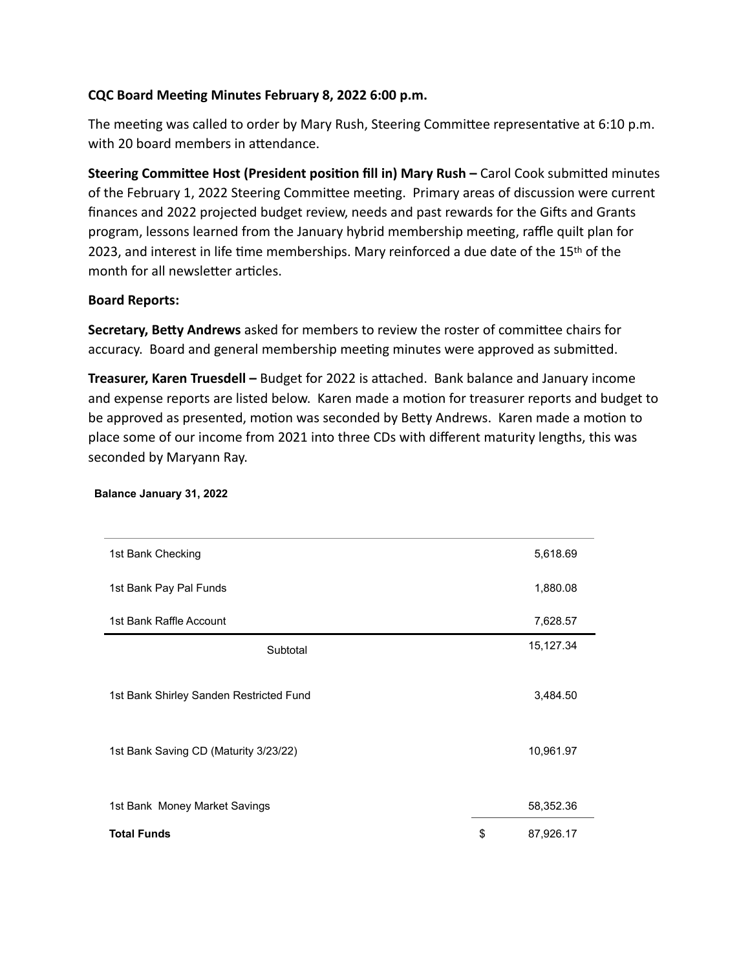# **CQC Board Meeting Minutes February 8, 2022 6:00 p.m.**

The meeting was called to order by Mary Rush, Steering Committee representative at 6:10 p.m. with 20 board members in attendance.

**Steering Committee Host (President position fill in) Mary Rush –** Carol Cook submitted minutes of the February 1, 2022 Steering Committee meeting. Primary areas of discussion were current finances and 2022 projected budget review, needs and past rewards for the Gifts and Grants program, lessons learned from the January hybrid membership meeting, raffle quilt plan for 2023, and interest in life time memberships. Mary reinforced a due date of the 15<sup>th</sup> of the month for all newsletter articles.

## **Board Reports:**

**Secretary, Betty Andrews** asked for members to review the roster of committee chairs for accuracy. Board and general membership meeting minutes were approved as submitted.

**Treasurer, Karen Truesdell –** Budget for 2022 is attached. Bank balance and January income and expense reports are listed below. Karen made a motion for treasurer reports and budget to be approved as presented, motion was seconded by Betty Andrews. Karen made a motion to place some of our income from 2021 into three CDs with different maturity lengths, this was seconded by Maryann Ray.

| 1st Bank Checking                       | 5,618.69        |
|-----------------------------------------|-----------------|
| 1st Bank Pay Pal Funds                  | 1,880.08        |
| 1st Bank Raffle Account                 | 7,628.57        |
| Subtotal                                | 15,127.34       |
|                                         |                 |
| 1st Bank Shirley Sanden Restricted Fund | 3,484.50        |
|                                         |                 |
| 1st Bank Saving CD (Maturity 3/23/22)   | 10,961.97       |
|                                         |                 |
| 1st Bank Money Market Savings           | 58,352.36       |
| <b>Total Funds</b>                      | \$<br>87,926.17 |

### **Balance January 31, 2022**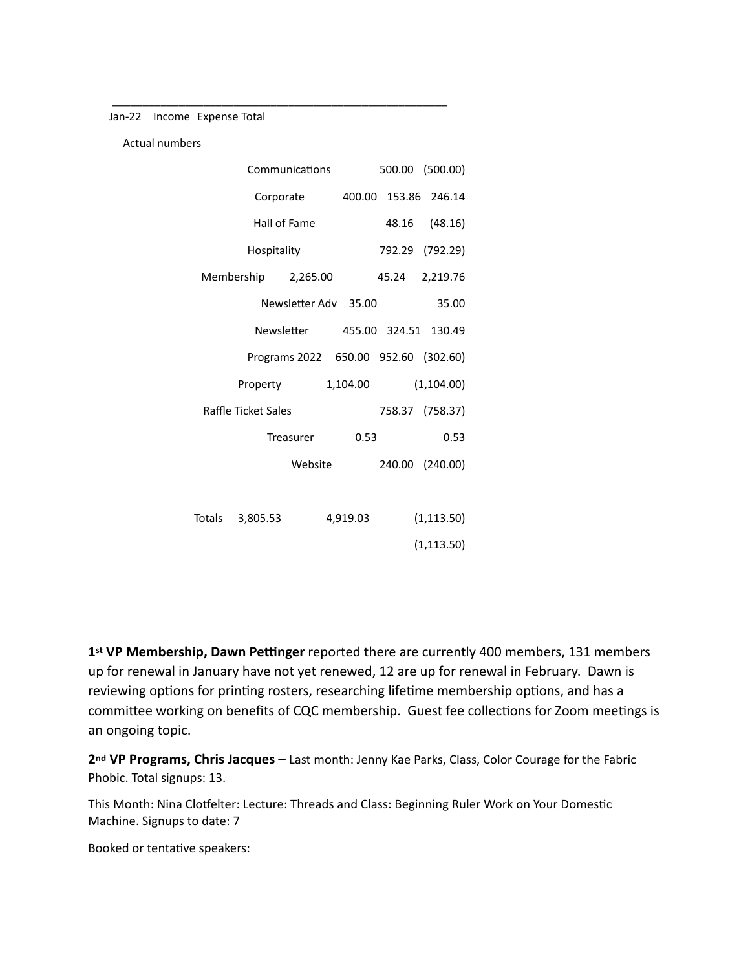Jan-22 Income Expense Total

\_\_\_\_\_\_\_\_\_\_\_\_\_\_\_\_\_\_\_\_\_\_\_\_\_\_\_\_\_\_\_\_\_\_\_\_\_\_\_\_\_\_\_\_\_\_\_\_\_\_\_\_\_\_\_

|  | <b>Actual numbers</b> |
|--|-----------------------|
|--|-----------------------|

|        |                     | Communications       |          |       | 500.00 (500.00)                      |
|--------|---------------------|----------------------|----------|-------|--------------------------------------|
|        |                     | Corporate            | 400.00   |       | 153.86 246.14                        |
|        |                     | Hall of Fame         |          |       | 48.16 (48.16)                        |
|        | Hospitality         |                      |          |       | 792.29 (792.29)                      |
|        |                     | Membership 2,265.00  |          | 45.24 | 2,219.76                             |
|        |                     | Newsletter Adv 35.00 |          |       | 35.00                                |
|        |                     | Newsletter           |          |       | 455.00 324.51 130.49                 |
|        |                     |                      |          |       | Programs 2022 650.00 952.60 (302.60) |
|        | Property            |                      | 1,104.00 |       | (1,104.00)                           |
|        | Raffle Ticket Sales |                      |          |       | 758.37 (758.37)                      |
|        |                     | Treasurer            | 0.53     |       | 0.53                                 |
|        |                     | Website              |          |       | 240.00 (240.00)                      |
|        |                     |                      |          |       |                                      |
| Totals | 3,805.53            |                      | 4,919.03 |       | (1, 113.50)                          |
|        |                     |                      |          |       | (1, 113.50)                          |

**1st VP Membership, Dawn Pettinger** reported there are currently 400 members, 131 members up for renewal in January have not yet renewed, 12 are up for renewal in February. Dawn is reviewing options for printing rosters, researching lifetime membership options, and has a committee working on benefits of CQC membership. Guest fee collections for Zoom meetings is an ongoing topic.

**2nd VP Programs, Chris Jacques –** Last month: Jenny Kae Parks, Class, Color Courage for the Fabric Phobic. Total signups: 13.

This Month: Nina Clotfelter: Lecture: Threads and Class: Beginning Ruler Work on Your Domestic Machine. Signups to date: 7

Booked or tentative speakers: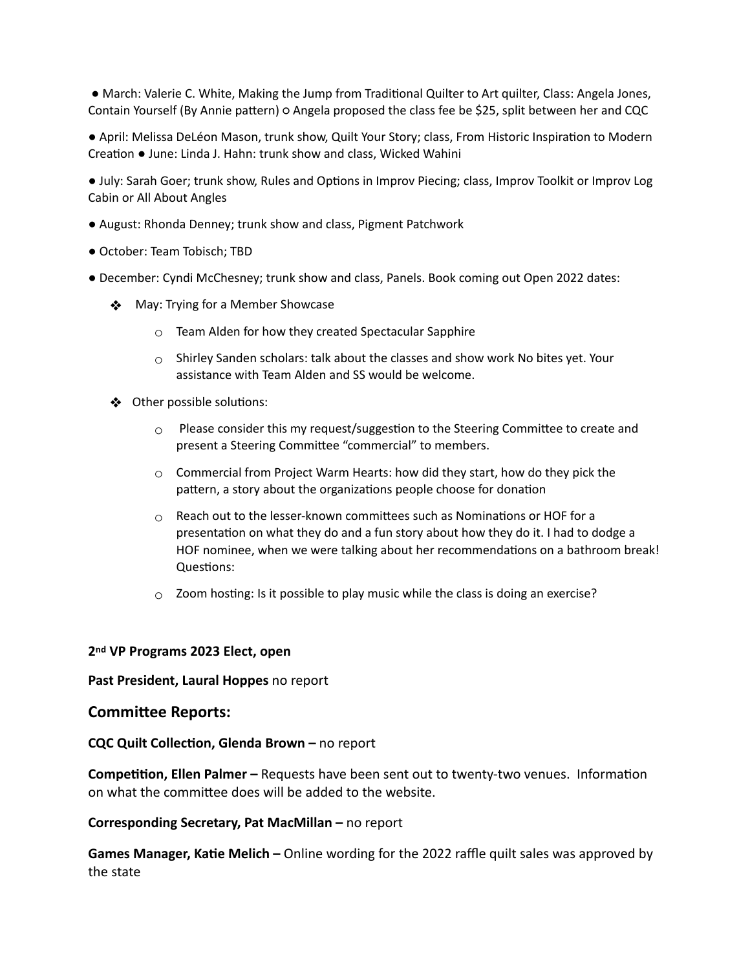● March: Valerie C. White, Making the Jump from Traditional Quilter to Art quilter, Class: Angela Jones, Contain Yourself (By Annie pattern) ○ Angela proposed the class fee be \$25, split between her and CQC

● April: Melissa DeLéon Mason, trunk show, Quilt Your Story; class, From Historic Inspiration to Modern Creation ● June: Linda J. Hahn: trunk show and class, Wicked Wahini

● July: Sarah Goer; trunk show, Rules and Options in Improv Piecing; class, Improv Toolkit or Improv Log Cabin or All About Angles

- August: Rhonda Denney; trunk show and class, Pigment Patchwork
- October: Team Tobisch; TBD
- December: Cyndi McChesney; trunk show and class, Panels. Book coming out Open 2022 dates:
	- ❖ May: Trying for a Member Showcase
		- $\circ$  Team Alden for how they created Spectacular Sapphire
		- $\circ$  Shirley Sanden scholars: talk about the classes and show work No bites yet. Your assistance with Team Alden and SS would be welcome.
	- ❖ Other possible solutions:
		- $\circ$  Please consider this my request/suggestion to the Steering Committee to create and present a Steering Committee "commercial" to members.
		- $\circ$  Commercial from Project Warm Hearts: how did they start, how do they pick the pattern, a story about the organizations people choose for donation
		- $\circ$  Reach out to the lesser-known committees such as Nominations or HOF for a presentation on what they do and a fun story about how they do it. I had to dodge a HOF nominee, when we were talking about her recommendations on a bathroom break! Questions:
		- $\circ$  Zoom hosting: Is it possible to play music while the class is doing an exercise?

### **2nd VP Programs 2023 Elect, open**

### **Past President, Laural Hoppes** no report

### **Committee Reports:**

**CQC Quilt Collection, Glenda Brown –** no report

**Competition, Ellen Palmer –** Requests have been sent out to twenty-two venues. Information on what the committee does will be added to the website.

### **Corresponding Secretary, Pat MacMillan –** no report

**Games Manager, Katie Melich –** Online wording for the 2022 raffle quilt sales was approved by the state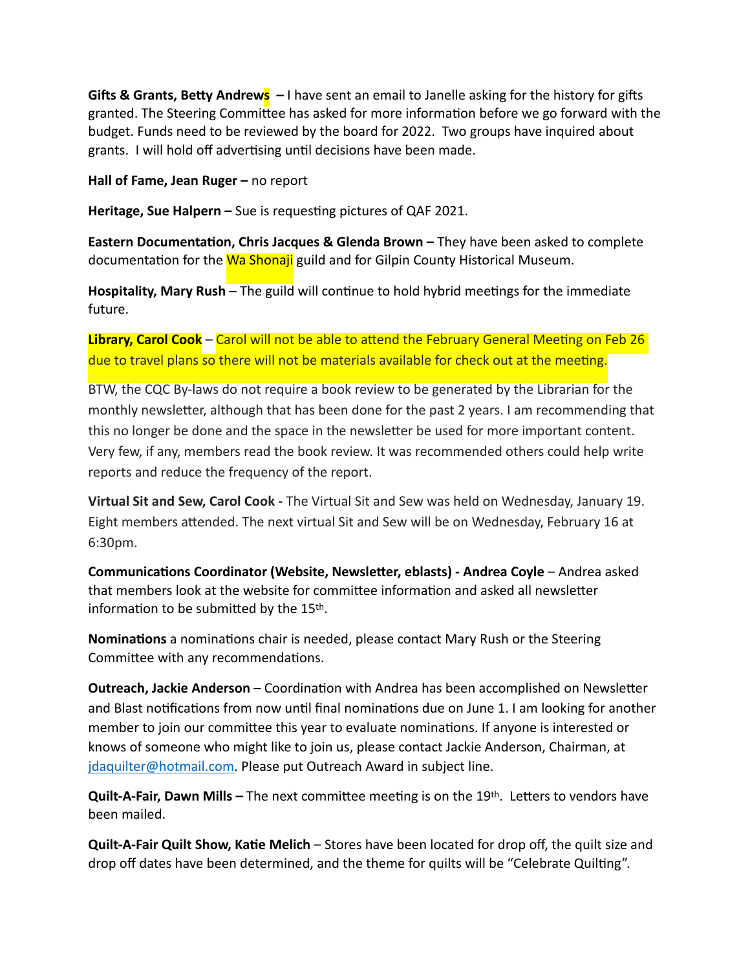Gifts & Grants, Betty Andrews - I have sent an email to Janelle asking for the history for gifts granted. The Steering Committee has asked for more information before we go forward with the budget. Funds need to be reviewed by the board for 2022. Two groups have inquired about grants. I will hold off advertising until decisions have been made.

**Hall of Fame, Jean Ruger –** no report

**Heritage, Sue Halpern –** Sue is requesting pictures of QAF 2021.

**Eastern Documentation, Chris Jacques & Glenda Brown –** They have been asked to complete documentation for the Wa Shonaji guild and for Gilpin County Historical Museum.

**Hospitality, Mary Rush** – The guild will continue to hold hybrid meetings for the immediate future.

**Library, Carol Cook** – Carol will not be able to attend the February General Meeting on Feb 26 due to travel plans so there will not be materials available for check out at the meeting.

BTW, the CQC By-laws do not require a book review to be generated by the Librarian for the monthly newsletter, although that has been done for the past 2 years. I am recommending that this no longer be done and the space in the newsletter be used for more important content. Very few, if any, members read the book review. It was recommended others could help write reports and reduce the frequency of the report.

**Virtual Sit and Sew, Carol Cook -** The Virtual Sit and Sew was held on Wednesday, January 19. Eight members attended. The next virtual Sit and Sew will be on Wednesday, February 16 at 6:30pm.

**Communications Coordinator (Website, Newsletter, eblasts) - Andrea Coyle** – Andrea asked that members look at the website for committee information and asked all newsletter information to be submitted by the 15th.

**Nominations** a nominations chair is needed, please contact Mary Rush or the Steering Committee with any recommendations.

**Outreach, Jackie Anderson** – Coordination with Andrea has been accomplished on Newsletter and Blast notifications from now until final nominations due on June 1. I am looking for another member to join our committee this year to evaluate nominations. If anyone is interested or knows of someone who might like to join us, please contact Jackie Anderson, Chairman, at [jdaquilter@hotmail.com](mailto:jdaquilter@hotmail.com). Please put Outreach Award in subject line.

**Quilt-A-Fair, Dawn Mills –** The next committee meeting is on the 19th. Letters to vendors have been mailed.

**Quilt-A-Fair Quilt Show, Katie Melich** – Stores have been located for drop off, the quilt size and drop off dates have been determined, and the theme for quilts will be "Celebrate Quilting".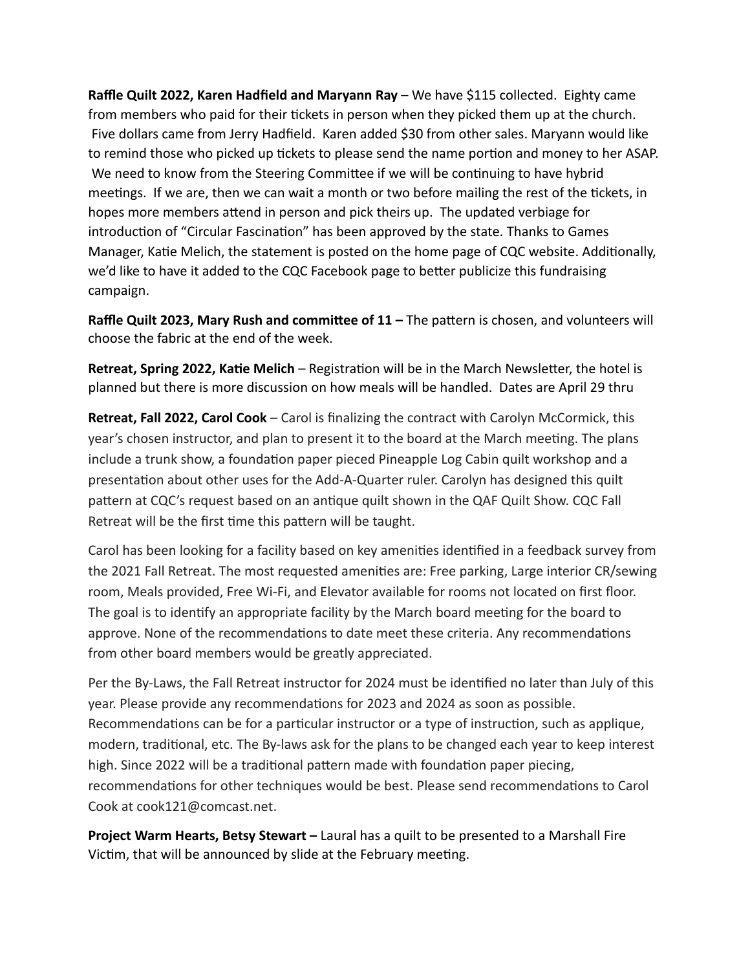**Raffle Quilt 2022, Karen Hadfield and Maryann Ray** – We have \$115 collected. Eighty came from members who paid for their tickets in person when they picked them up at the church. Five dollars came from Jerry Hadfield. Karen added \$30 from other sales. Maryann would like to remind those who picked up tickets to please send the name portion and money to her ASAP. We need to know from the Steering Committee if we will be continuing to have hybrid meetings. If we are, then we can wait a month or two before mailing the rest of the tickets, in hopes more members attend in person and pick theirs up. The updated verbiage for introduction of "Circular Fascination" has been approved by the state. Thanks to Games Manager, Katie Melich, the statement is posted on the home page of CQC website. Additionally, we'd like to have it added to the CQC Facebook page to better publicize this fundraising campaign.

**Raffle Quilt 2023, Mary Rush and committee of 11 – The pattern is chosen, and volunteers will** choose the fabric at the end of the week.

**Retreat, Spring 2022, Katie Melich** – Registration will be in the March Newsletter, the hotel is planned but there is more discussion on how meals will be handled. Dates are April 29 thru

**Retreat, Fall 2022, Carol Cook** – Carol is finalizing the contract with Carolyn McCormick, this year's chosen instructor, and plan to present it to the board at the March meeting. The plans include a trunk show, a foundation paper pieced Pineapple Log Cabin quilt workshop and a presentation about other uses for the Add-A-Quarter ruler. Carolyn has designed this quilt pattern at CQC's request based on an antique quilt shown in the QAF Quilt Show. CQC Fall Retreat will be the first time this pattern will be taught.

Carol has been looking for a facility based on key amenities identified in a feedback survey from the 2021 Fall Retreat. The most requested amenities are: Free parking, Large interior CR/sewing room, Meals provided, Free Wi-Fi, and Elevator available for rooms not located on first floor. The goal is to identify an appropriate facility by the March board meeting for the board to approve. None of the recommendations to date meet these criteria. Any recommendations from other board members would be greatly appreciated.

Per the By-Laws, the Fall Retreat instructor for 2024 must be identified no later than July of this year. Please provide any recommendations for 2023 and 2024 as soon as possible. Recommendations can be for a particular instructor or a type of instruction, such as applique, modern, traditional, etc. The By-laws ask for the plans to be changed each year to keep interest high. Since 2022 will be a traditional pattern made with foundation paper piecing, recommendations for other techniques would be best. Please send recommendations to Carol Cook at cook121@comcast.net.

**Project Warm Hearts, Betsy Stewart –** Laural has a quilt to be presented to a Marshall Fire Victim, that will be announced by slide at the February meeting.